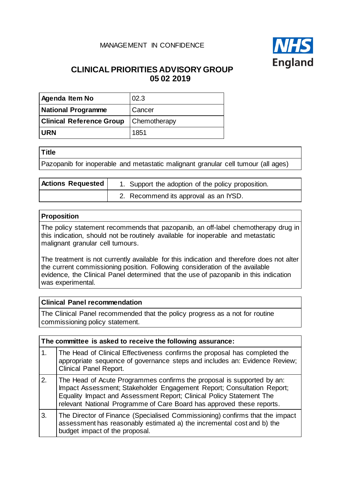### MANAGEMENT IN CONFIDENCE



# **CLINICAL PRIORITIES ADVISORY GROUP 05 02 2019**

| <b>Agenda Item No</b>                        | 02.3   |  |
|----------------------------------------------|--------|--|
| <b>National Programme</b>                    | Cancer |  |
| <b>Clinical Reference Group</b> Chemotherapy |        |  |
| <b>IURN</b>                                  | 1851   |  |

| ۰.<br>$\sim$ |
|--------------|
|--------------|

Pazopanib for inoperable and metastatic malignant granular cell tumour (all ages)

| <b>Actions Requested</b> | 1. Support the adoption of the policy proposition. |  |
|--------------------------|----------------------------------------------------|--|
|                          | 2. Recommend its approval as an IYSD.              |  |

#### **Proposition**

The policy statement recommends that pazopanib, an off-label chemotherapy drug in this indication, should not be routinely available for inoperable and metastatic malignant granular cell tumours.

The treatment is not currently available for this indication and therefore does not alter the current commissioning position. Following consideration of the available evidence, the Clinical Panel determined that the use of pazopanib in this indication was experimental.

#### **Clinical Panel recommendation**

The Clinical Panel recommended that the policy progress as a not for routine commissioning policy statement.

| The committee is asked to receive the following assurance: |                                                                                                                                                                                                                                                                                                   |  |
|------------------------------------------------------------|---------------------------------------------------------------------------------------------------------------------------------------------------------------------------------------------------------------------------------------------------------------------------------------------------|--|
| $\mathbf{1}$ .                                             | The Head of Clinical Effectiveness confirms the proposal has completed the<br>appropriate sequence of governance steps and includes an: Evidence Review;<br><b>Clinical Panel Report.</b>                                                                                                         |  |
| 2.                                                         | The Head of Acute Programmes confirms the proposal is supported by an:<br>Impact Assessment; Stakeholder Engagement Report; Consultation Report;<br>Equality Impact and Assessment Report; Clinical Policy Statement The<br>relevant National Programme of Care Board has approved these reports. |  |
| 3.                                                         | The Director of Finance (Specialised Commissioning) confirms that the impact<br>assessment has reasonably estimated a) the incremental cost and b) the<br>budget impact of the proposal.                                                                                                          |  |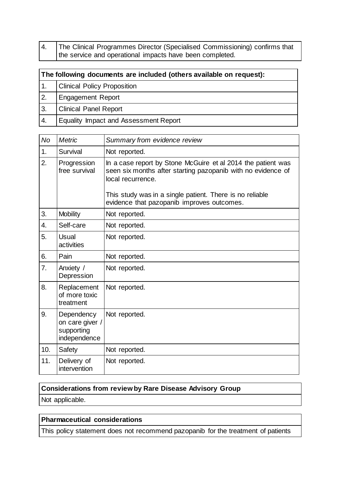4. The Clinical Programmes Director (Specialised Commissioning) confirms that the service and operational impacts have been completed.

| The following documents are included (others available on request): |                                       |  |
|---------------------------------------------------------------------|---------------------------------------|--|
|                                                                     | <b>Clinical Policy Proposition</b>    |  |
| 2.                                                                  | <b>Engagement Report</b>              |  |
| 3.                                                                  | <b>Clinical Panel Report</b>          |  |
| 4.                                                                  | Equality Impact and Assessment Report |  |

| No               | <b>Metric</b>                                               | Summary from evidence review                                                                                                                                                                                                                                |  |  |
|------------------|-------------------------------------------------------------|-------------------------------------------------------------------------------------------------------------------------------------------------------------------------------------------------------------------------------------------------------------|--|--|
| 1.               | Survival                                                    | Not reported.                                                                                                                                                                                                                                               |  |  |
| $\overline{2}$ . | Progression<br>free survival                                | In a case report by Stone McGuire et al 2014 the patient was<br>seen six months after starting pazopanib with no evidence of<br>local recurrence.<br>This study was in a single patient. There is no reliable<br>evidence that pazopanib improves outcomes. |  |  |
| 3.               | <b>Mobility</b>                                             | Not reported.                                                                                                                                                                                                                                               |  |  |
| 4.               | Self-care                                                   | Not reported.                                                                                                                                                                                                                                               |  |  |
| 5.               | <b>Usual</b><br>activities                                  | Not reported.                                                                                                                                                                                                                                               |  |  |
| 6.               | Pain                                                        | Not reported.                                                                                                                                                                                                                                               |  |  |
| 7.               | Anxiety /<br>Depression                                     | Not reported.                                                                                                                                                                                                                                               |  |  |
| 8.               | Replacement<br>of more toxic<br>treatment                   | Not reported.                                                                                                                                                                                                                                               |  |  |
| 9.               | Dependency<br>on care giver /<br>supporting<br>independence | Not reported.                                                                                                                                                                                                                                               |  |  |
| 10.              | Safety                                                      | Not reported.                                                                                                                                                                                                                                               |  |  |
| 11.              | Delivery of<br>intervention                                 | Not reported.                                                                                                                                                                                                                                               |  |  |

## **Considerations from review by Rare Disease Advisory Group**

Not applicable.

## **Pharmaceutical considerations**

This policy statement does not recommend pazopanib for the treatment of patients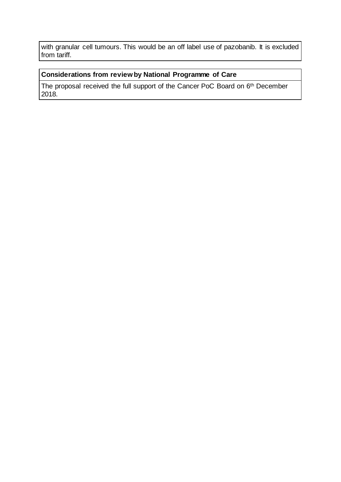with granular cell tumours. This would be an off label use of pazobanib. It is excluded from tariff.

#### **Considerations from review by National Programme of Care**

The proposal received the full support of the Cancer PoC Board on 6<sup>th</sup> December 2018.